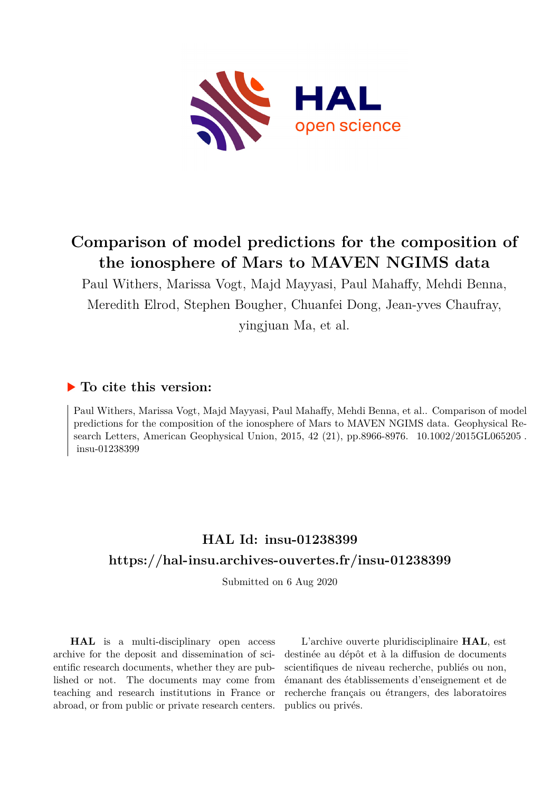

# **Comparison of model predictions for the composition of the ionosphere of Mars to MAVEN NGIMS data**

Paul Withers, Marissa Vogt, Majd Mayyasi, Paul Mahaffy, Mehdi Benna, Meredith Elrod, Stephen Bougher, Chuanfei Dong, Jean-yves Chaufray,

yingjuan Ma, et al.

### **To cite this version:**

Paul Withers, Marissa Vogt, Majd Mayyasi, Paul Mahaffy, Mehdi Benna, et al.. Comparison of model predictions for the composition of the ionosphere of Mars to MAVEN NGIMS data. Geophysical Research Letters, American Geophysical Union, 2015, 42 (21), pp.8966-8976. 10.1002/2015GL065205.  $insu-01238399$ 

## **HAL Id: insu-01238399 <https://hal-insu.archives-ouvertes.fr/insu-01238399>**

Submitted on 6 Aug 2020

**HAL** is a multi-disciplinary open access archive for the deposit and dissemination of scientific research documents, whether they are published or not. The documents may come from teaching and research institutions in France or abroad, or from public or private research centers.

L'archive ouverte pluridisciplinaire **HAL**, est destinée au dépôt et à la diffusion de documents scientifiques de niveau recherche, publiés ou non, émanant des établissements d'enseignement et de recherche français ou étrangers, des laboratoires publics ou privés.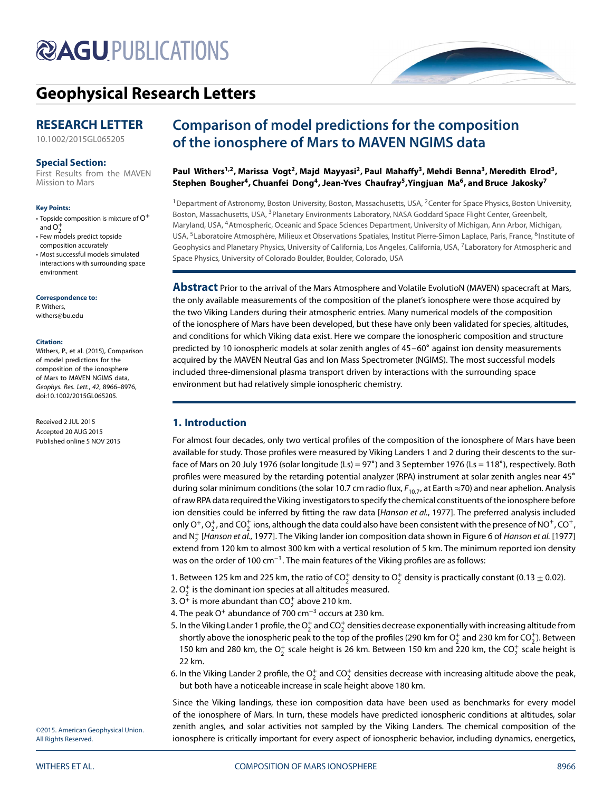# **@AGUPUBLICATIONS**

# **[Geophysical Research Letters](http://onlinelibrary.wiley.com/journal/10.1002/(ISSN)1944-8007)**

### **RESEARCH LETTER**

[10.1002/2015GL065205](http://dx.doi.org/10.1002/2015GL065205)

#### **Special Section:**

[First Results from the MAVEN](http://onlinelibrary.wiley.com/journal/10.1002/(ISSN)1944-8007/specialsection/MAVEN1/) Mission to Mars

#### **Key Points:**

- Topside composition is mixture of  $O^+$ and  $O$
- Few models predict topside composition accurately
- Most successful models simulated interactions with surrounding space environment

**Correspondence to:** P. Withers, withers@bu.edu

#### **Citation:**

Withers, P., et al. (2015), Comparison of model predictions for the composition of the ionosphere of Mars to MAVEN NGIMS data, Geophys. Res. Lett., 42, 8966–8976, doi:10.1002/2015GL065205.

Received 2 JUL 2015 Accepted 20 AUG 2015 Published online 5 NOV 2015

### **Comparison of model predictions for the composition of the ionosphere of Mars to MAVEN NGIMS data**

### Paul Withers<sup>1,2</sup>, Marissa Vogt<sup>2</sup>, Majd Mayyasi<sup>2</sup>, Paul Mahaffy<sup>3</sup>, Mehdi Benna<sup>3</sup>, Meredith Elrod<sup>3</sup>, Stephen Bougher<sup>4</sup>, Chuanfei Dong<sup>4</sup>, Jean-Yves Chaufray<sup>5</sup>, Yingjuan Ma<sup>6</sup>, and Bruce Jakosky<sup>7</sup>

<sup>1</sup> Department of Astronomy, Boston University, Boston, Massachusetts, USA, <sup>2</sup>Center for Space Physics, Boston University, Boston, Massachusetts, USA, <sup>3</sup>Planetary Environments Laboratory, NASA Goddard Space Flight Center, Greenbelt, Maryland, USA, 4Atmospheric, Oceanic and Space Sciences Department, University of Michigan, Ann Arbor, Michigan, USA, <sup>5</sup>Laboratoire Atmosphère, Milieux et Observations Spatiales, Institut Pierre-Simon Laplace, Paris, France, <sup>6</sup>Institute of Geophysics and Planetary Physics, University of California, Los Angeles, California, USA, 7Laboratory for Atmospheric and Space Physics, University of Colorado Boulder, Boulder, Colorado, USA

**Abstract** Prior to the arrival of the Mars Atmosphere and Volatile EvolutioN (MAVEN) spacecraft at Mars, the only available measurements of the composition of the planet's ionosphere were those acquired by the two Viking Landers during their atmospheric entries. Many numerical models of the composition of the ionosphere of Mars have been developed, but these have only been validated for species, altitudes, and conditions for which Viking data exist. Here we compare the ionospheric composition and structure predicted by 10 ionospheric models at solar zenith angles of 45–60∘ against ion density measurements acquired by the MAVEN Neutral Gas and Ion Mass Spectrometer (NGIMS). The most successful models included three-dimensional plasma transport driven by interactions with the surrounding space environment but had relatively simple ionospheric chemistry.

### **1. Introduction**

For almost four decades, only two vertical profiles of the composition of the ionosphere of Mars have been available for study. Those profiles were measured by Viking Landers 1 and 2 during their descents to the surface of Mars on 20 July 1976 (solar longitude (Ls) = 97∘) and 3 September 1976 (Ls = 118∘), respectively. Both profiles were measured by the retarding potential analyzer (RPA) instrument at solar zenith angles near 45∘ during solar minimum conditions (the solar 10.7 cm radio flux,  $F_{10,7}$ , at Earth  $\approx$ 70) and near aphelion. Analysis of raw RPA data required the Viking investigators to specify the chemical constituents of the ionosphere before ion densities could be inferred by fitting the raw data [Hanson et al., 1977]. The preferred analysis included only O<sup>+</sup>, O<sub>2</sub><sup>+</sup>, and CO<sub>2</sub><sup>+</sup> ions, although the data could also have been consistent with the presence of NO<sup>+</sup>, CO<sup>+</sup>, and N $_2^+$  [Hanson et al., 1977]. The Viking lander ion composition data shown in Figure 6 of Hanson et al. [1977] extend from 120 km to almost 300 km with a vertical resolution of 5 km. The minimum reported ion density was on the order of 100 cm<sup>-3</sup>. The main features of the Viking profiles are as follows:

1. Between 125 km and 225 km, the ratio of CO $_2^+$  density to O $_2^+$  density is practically constant (0.13  $\pm$  0.02).

- 2.  $\mathrm{O}_2^+$  is the dominant ion species at all altitudes measured.
- 3. O<sup>+</sup> is more abundant than CO $_2^+$  above 210 km.
- 4. The peak O<sup>+</sup> abundance of 700 cm<sup>-3</sup> occurs at 230 km.
- 5. In the Viking Lander 1 profile, the  $\mathrm{O}_2^+$  and CO $_2^+$  densities decrease exponentially with increasing altitude from shortly above the ionospheric peak to the top of the profiles (290 km for  $\mathrm{O}_2^+$  and 230 km for  $\mathrm{CO}_2^+$ ). Between 150 km and 280 km, the  $O_2^+$  scale height is 26 km. Between 150 km and 220 km, the CO $_2^+$  scale height is 22 km.
- 6. In the Viking Lander 2 profile, the  $\mathrm{O}_2^+$  and C $\mathrm{O}_2^+$  densities decrease with increasing altitude above the peak, but both have a noticeable increase in scale height above 180 km.

Since the Viking landings, these ion composition data have been used as benchmarks for every model of the ionosphere of Mars. In turn, these models have predicted ionospheric conditions at altitudes, solar zenith angles, and solar activities not sampled by the Viking Landers. The chemical composition of the ionosphere is critically important for every aspect of ionospheric behavior, including dynamics, energetics,

©2015. American Geophysical Union. All Rights Reserved.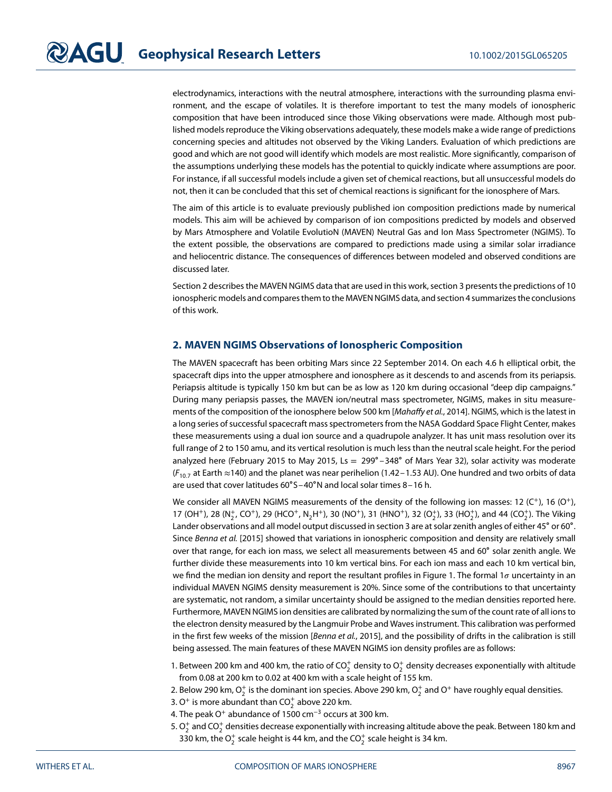electrodynamics, interactions with the neutral atmosphere, interactions with the surrounding plasma environment, and the escape of volatiles. It is therefore important to test the many models of ionospheric composition that have been introduced since those Viking observations were made. Although most published models reproduce the Viking observations adequately, these models make a wide range of predictions concerning species and altitudes not observed by the Viking Landers. Evaluation of which predictions are good and which are not good will identify which models are most realistic. More significantly, comparison of the assumptions underlying these models has the potential to quickly indicate where assumptions are poor. For instance, if all successful models include a given set of chemical reactions, but all unsuccessful models do not, then it can be concluded that this set of chemical reactions is significant for the ionosphere of Mars.

The aim of this article is to evaluate previously published ion composition predictions made by numerical models. This aim will be achieved by comparison of ion compositions predicted by models and observed by Mars Atmosphere and Volatile EvolutioN (MAVEN) Neutral Gas and Ion Mass Spectrometer (NGIMS). To the extent possible, the observations are compared to predictions made using a similar solar irradiance and heliocentric distance. The consequences of differences between modeled and observed conditions are discussed later.

Section 2 describes the MAVEN NGIMS data that are used in this work, section 3 presents the predictions of 10 ionospheric models and compares them to the MAVEN NGIMS data, and section 4 summarizes the conclusions of this work.

### **2. MAVEN NGIMS Observations of Ionospheric Composition**

The MAVEN spacecraft has been orbiting Mars since 22 September 2014. On each 4.6 h elliptical orbit, the spacecraft dips into the upper atmosphere and ionosphere as it descends to and ascends from its periapsis. Periapsis altitude is typically 150 km but can be as low as 120 km during occasional "deep dip campaigns." During many periapsis passes, the MAVEN ion/neutral mass spectrometer, NGIMS, makes in situ measurements of the composition of the ionosphere below 500 km [Mahaffy et al., 2014]. NGIMS, which is the latest in a long series of successful spacecraft mass spectrometers from the NASA Goddard Space Flight Center, makes these measurements using a dual ion source and a quadrupole analyzer. It has unit mass resolution over its full range of 2 to 150 amu, and its vertical resolution is much less than the neutral scale height. For the period analyzed here (February 2015 to May 2015, Ls = 299∘ –348∘ of Mars Year 32), solar activity was moderate  $(F_{10.7}$  at Earth ≈140) and the planet was near perihelion (1.42 – 1.53 AU). One hundred and two orbits of data are used that cover latitudes 60∘S–40∘N and local solar times 8–16 h.

We consider all MAVEN NGIMS measurements of the density of the following ion masses: 12 (C<sup>+</sup>), 16 (O<sup>+</sup>), 17 (OH<sup>+</sup>), 28 (N<sub>2</sub><sup>+</sup>, CO<sup>+</sup>), 29 (HCO<sup>+</sup>, N<sub>2</sub>H<sup>+</sup>), 30 (NO<sup>+</sup>), 31 (HNO<sup>+</sup>), 32 (O<sub>2</sub><sup>+</sup>), 33 (HO<sub>2</sub><sup>+</sup>), and 44 (CO<sub>2</sub><sup>+</sup>). The Viking Lander observations and all model output discussed in section 3 are at solar zenith angles of either 45∘ or 60∘. Since Benna et al. [2015] showed that variations in ionospheric composition and density are relatively small over that range, for each ion mass, we select all measurements between 45 and 60∘ solar zenith angle. We further divide these measurements into 10 km vertical bins. For each ion mass and each 10 km vertical bin, we find the median ion density and report the resultant profiles in Figure 1. The formal 1 $\sigma$  uncertainty in an individual MAVEN NGIMS density measurement is 20%. Since some of the contributions to that uncertainty are systematic, not random, a similar uncertainty should be assigned to the median densities reported here. Furthermore, MAVEN NGIMS ion densities are calibrated by normalizing the sum of the count rate of all ions to the electron density measured by the Langmuir Probe and Waves instrument. This calibration was performed in the first few weeks of the mission [Benna et al., 2015], and the possibility of drifts in the calibration is still being assessed. The main features of these MAVEN NGIMS ion density profiles are as follows:

- 1. Between 200 km and 400 km, the ratio of CO $_2^+$  density to O $_2^+$  density decreases exponentially with altitude from 0.08 at 200 km to 0.02 at 400 km with a scale height of 155 km.
- 2. Below 290 km,  $\mathrm{O}_2^+$  is the dominant ion species. Above 290 km,  $\mathrm{O}_2^+$  and  $\mathrm{O}^+$  have roughly equal densities.
- 3. O<sup>+</sup> is more abundant than CO $_2^+$  above 220 km.
- 4. The peak O<sup>+</sup> abundance of 1500 cm<sup>-3</sup> occurs at 300 km.
- 5.  $\mathrm{O}_2^+$  and CO $_2^+$  densities decrease exponentially with increasing altitude above the peak. Between 180 km and 330 km, the  $\mathrm{O}_2^+$  scale height is 44 km, and the CO $_2^+$  scale height is 34 km.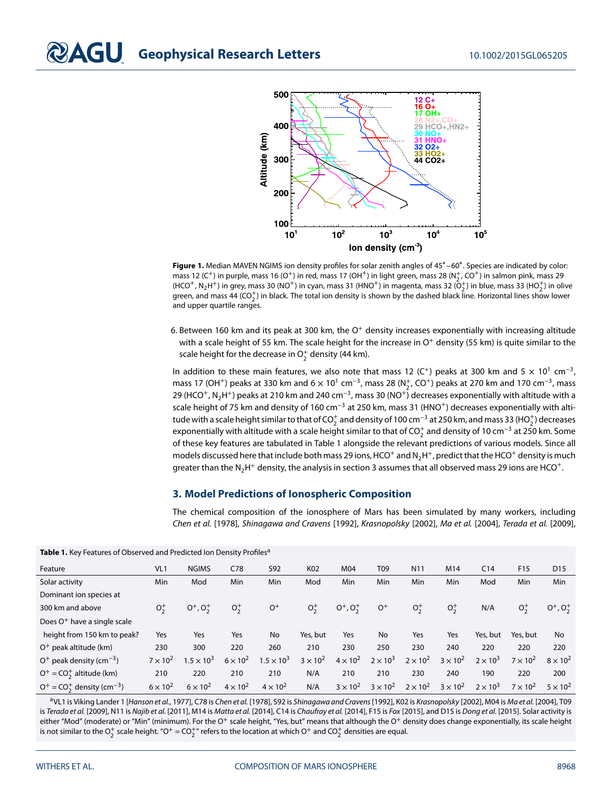

**Figure 1.** Median MAVEN NGIMS ion density profiles for solar zenith angles of 45∘ –60∘. Species are indicated by color: mass 12 (C<sup>+</sup>) in purple, mass 16 (O<sup>+</sup>) in red, mass 17 (OH<sup>+</sup>) in light green, mass 28 (N<sub>2</sub><sup>+</sup>, CO<sup>+</sup>) in salmon pink, mass 29 (HCO<sup>+</sup>, N<sub>2</sub>H<sup>+</sup>) in grey, mass 30 (NO<sup>+</sup>) in cyan, mass 31 (HNO<sup>+</sup>) in magenta, mass 32 (O+<sub>2</sub>) in blue, mass 33 (HO+<sub>2</sub>) in olive green, and mass 44 (CO $_2^+$ ) in black. The total ion density is shown by the dashed black line. Horizontal lines show lower and upper quartile ranges.

6. Between 160 km and its peak at 300 km, the  $O<sup>+</sup>$  density increases exponentially with increasing altitude with a scale height of 55 km. The scale height for the increase in  $O<sup>+</sup>$  density (55 km) is quite similar to the scale height for the decrease in  $\mathrm{O}_2^+$  density (44 km).

In addition to these main features, we also note that mass 12 (C<sup>+</sup>) peaks at 300 km and 5  $\times$  10<sup>1</sup> cm<sup>-3</sup>, mass 17 (OH<sup>+</sup>) peaks at 330 km and 6  $\times$  10<sup>1</sup> cm<sup>-3</sup>, mass 28 (N<sup>+</sup><sub>2</sub>, CO<sup>+</sup>) peaks at 270 km and 170 cm<sup>-3</sup>, mass 29 (HCO<sup>+</sup>, N<sub>2</sub>H<sup>+</sup>) peaks at 210 km and 240 cm<sup>-3</sup>, mass 30 (NO<sup>+</sup>) decreases exponentially with altitude with a scale height of 75 km and density of 160 cm<sup>-3</sup> at 250 km, mass 31 (HNO<sup>+</sup>) decreases exponentially with altitude with a scale height similar to that of CO $_2^+$  and density of 100 cm $^{-3}$  at 250 km, and mass 33 (HO $_2^+$ ) decreases exponentially with altitude with a scale height similar to that of CO $_2^+$  and density of 10 cm<sup>−3</sup> at 250 km. Some of these key features are tabulated in Table 1 alongside the relevant predictions of various models. Since all models discussed here that include both mass 29 ions, HCO<sup>+</sup> and N<sub>2</sub>H<sup>+</sup>, predict that the HCO<sup>+</sup> density is much greater than the N<sub>2</sub>H<sup>+</sup> density, the analysis in section 3 assumes that all observed mass 29 ions are HCO<sup>+</sup>.

### **3. Model Predictions of Ionospheric Composition**

The chemical composition of the ionosphere of Mars has been simulated by many workers, including Chen et al. [1978], Shinagawa and Cravens [1992], Krasnopolsky [2002], Ma et al. [2004], Terada et al. [2009],

**Table 1.** Key Features of Observed and Predicted Ion Density Profiles<sup>a</sup>

| Feature                                    | VL1             | <b>NGIMS</b>      | C78             | <b>S92</b>          | K <sub>02</sub> | M04               | T09             | N <sub>1</sub> 1 | M14               | C <sub>14</sub> | F <sub>15</sub> | D <sub>15</sub>   |
|--------------------------------------------|-----------------|-------------------|-----------------|---------------------|-----------------|-------------------|-----------------|------------------|-------------------|-----------------|-----------------|-------------------|
| Solar activity                             | Min             | Mod               | Min             | Min                 | Mod             | Min               | Min             | Min              | Min               | Mod             | Min             | Min               |
| Dominant ion species at                    |                 |                   |                 |                     |                 |                   |                 |                  |                   |                 |                 |                   |
| 300 km and above                           | $O_{2}^{+}$     | $O^+$ , $O_2^+$   | $O_{2}^{+}$     | $O+$                | $O_2^+$         | $O^+$ , $O_2^+$   | $O+$            | $O_{2}^{+}$      | $O_{2}^{+}$       | N/A             | $O_{2}^{+}$     | $0^+, 0^+$        |
| Does O <sup>+</sup> have a single scale    |                 |                   |                 |                     |                 |                   |                 |                  |                   |                 |                 |                   |
| height from 150 km to peak?                | Yes             | Yes               | Yes             | <b>No</b>           | Yes, but        | Yes               | No              | Yes              | Yes               | Yes, but        | Yes, but        | No                |
| O <sup>+</sup> peak altitude (km)          | 230             | 300               | 220             | 260                 | 210             | 230               | 250             | 230              | 240               | 220             | 220             | 220               |
| $O^+$ peak density (cm <sup>-3</sup> )     | $7 \times 10^2$ | $1.5 \times 10^3$ | $6 \times 10^2$ | $1.5 \times 10^{3}$ | $3 \times 10^2$ | $4 \times 10^2$   | $2 \times 10^3$ | $2 \times 10^2$  | $3 \times 10^2$   | $2 \times 10^3$ | $7 \times 10^2$ | $8 \times 10^{2}$ |
| $O^+ = CO_2^+$ altitude (km)               | 210             | 220               | 210             | 210                 | N/A             | 210               | 210             | 230              | 240               | 190             | 220             | 200               |
| $O^+ = CO_2^+$ density (cm <sup>-3</sup> ) | $6 \times 10^2$ | $6 \times 10^2$   | $4 \times 10^2$ | $4 \times 10^2$     | N/A             | $3 \times 10^{2}$ | $3 \times 10^2$ | $2 \times 10^2$  | $3 \times 10^{2}$ | $2 \times 10^3$ | $7 \times 10^2$ | $5 \times 10^2$   |

aVL1 is Viking Lander 1 [Hanson et al., 1977], C78 is Chen et al. [1978], S92 is Shinagawa and Cravens [1992], K02 is Krasnopolsky [2002], M04 is Ma et al. [2004], T09 is Terada et al. [2009], N11 is Najib et al. [2011], M14 is Matta et al. [2014], C14 is Chaufray et al. [2014], F15 is Fox [2015], and D15 is Dong et al. [2015]. Solar activity is either "Mod" (moderate) or "Min" (minimum). For the O<sup>+</sup> scale height, "Yes, but" means that although the O<sup>+</sup> density does change exponentially, its scale height is not similar to the  $O_2^+$  scale height. "O $^+$  = CO $_2^+$ " refers to the location at which O $^+$  and CO $_2^+$  densities are equal.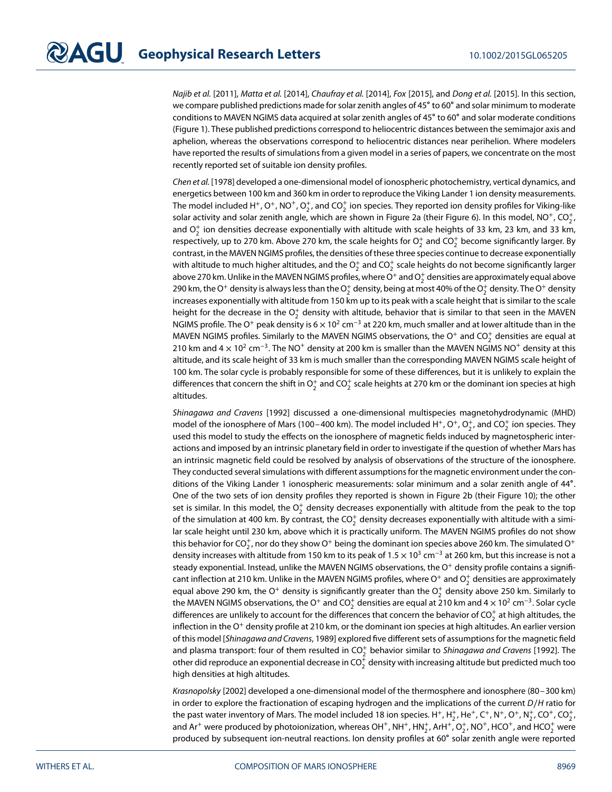Najib et al. [2011], Matta et al. [2014], Chaufray et al. [2014], Fox [2015], and Dong et al. [2015]. In this section, we compare published predictions made for solar zenith angles of 45° to 60° and solar minimum to moderate conditions to MAVEN NGIMS data acquired at solar zenith angles of 45∘ to 60∘ and solar moderate conditions (Figure 1). These published predictions correspond to heliocentric distances between the semimajor axis and aphelion, whereas the observations correspond to heliocentric distances near perihelion. Where modelers have reported the results of simulations from a given model in a series of papers, we concentrate on the most recently reported set of suitable ion density profiles.

Chen et al. [1978] developed a one-dimensional model of ionospheric photochemistry, vertical dynamics, and energetics between 100 km and 360 km in order to reproduce the Viking Lander 1 ion density measurements. The model included H+, O+, NO<sup>+</sup>, O<sub>2</sub>, and CO<sub>2</sub> ion species. They reported ion density profiles for Viking-like solar activity and solar zenith angle, which are shown in Figure 2a (their Figure 6). In this model, NO<sup>+</sup>, CO $_2^{\!+}$ , and  $\mathrm{O}_2^+$  ion densities decrease exponentially with altitude with scale heights of 33 km, 23 km, and 33 km, respectively, up to 270 km. Above 270 km, the scale heights for  $\mathrm{O}_2^+$  and  $\mathrm{CO}_2^+$  become significantly larger. By contrast, in the MAVEN NGIMS profiles, the densities of these three species continue to decrease exponentially with altitude to much higher altitudes, and the  $\mathrm{O}_2^+$  and CO $_2^+$  scale heights do not become significantly larger above 270 km. Unlike in the MAVEN NGIMS profiles, where O<sup>+</sup> and O $_2^+$  densities are approximately equal above 290 km, the O $^+$  density is always less than the  $\rm O_2^+$  density, being at most 40% of the  $\rm O_2^+$  density. The O $^+$  density increases exponentially with altitude from 150 km up to its peak with a scale height that is similar to the scale height for the decrease in the  $\mathrm{O}_2^+$  density with altitude, behavior that is similar to that seen in the MAVEN NGIMS profile. The O+ peak density is  $6 \times 10^2$  cm<sup>-3</sup> at 220 km, much smaller and at lower altitude than in the MAVEN NGIMS profiles. Similarly to the MAVEN NGIMS observations, the O<sup>+</sup> and CO<sup>+</sup> densities are equal at 210 km and 4  $\times$  10<sup>2</sup> cm<sup>-3</sup>. The NO<sup>+</sup> density at 200 km is smaller than the MAVEN NGIMS NO<sup>+</sup> density at this altitude, and its scale height of 33 km is much smaller than the corresponding MAVEN NGIMS scale height of 100 km. The solar cycle is probably responsible for some of these differences, but it is unlikely to explain the differences that concern the shift in  $\mathrm{O}_2^+$  and CO $_2^+$  scale heights at 270 km or the dominant ion species at high altitudes.

Shinagawa and Cravens [1992] discussed a one-dimensional multispecies magnetohydrodynamic (MHD) model of the ionosphere of Mars (100–400 km). The model included H<sup>+</sup>, O<sup>+</sup>, O<sup>+</sup>, and CO<sup>+</sup>2 ion species. They used this model to study the effects on the ionosphere of magnetic fields induced by magnetospheric interactions and imposed by an intrinsic planetary field in order to investigate if the question of whether Mars has an intrinsic magnetic field could be resolved by analysis of observations of the structure of the ionosphere. They conducted several simulations with different assumptions for the magnetic environment under the conditions of the Viking Lander 1 ionospheric measurements: solar minimum and a solar zenith angle of 44∘. One of the two sets of ion density profiles they reported is shown in Figure 2b (their Figure 10); the other set is similar. In this model, the  $\mathrm{O}_2^+$  density decreases exponentially with altitude from the peak to the top of the simulation at 400 km. By contrast, the CO $_2^+$  density decreases exponentially with altitude with a similar scale height until 230 km, above which it is practically uniform. The MAVEN NGIMS profiles do not show this behavior for CO $_2^+$ , nor do they show O $^+$  being the dominant ion species above 260 km. The simulated O $^+$ density increases with altitude from 150 km to its peak of 1*.*5 × 10<sup>3</sup> cm<sup>−</sup><sup>3</sup> at 260 km, but this increase is not a steady exponential. Instead, unlike the MAVEN NGIMS observations, the  $O<sup>+</sup>$  density profile contains a significant inflection at 210 km. Unlike in the MAVEN NGIMS profiles, where O<sup>+</sup> and O $_2^+$  densities are approximately equal above 290 km, the O<sup>+</sup> density is significantly greater than the O $_2^+$  density above 250 km. Similarly to the MAVEN NGIMS observations, the O<sup>+</sup> and CO $_2^+$  densities are equal at 210 km and 4  $\times$  10<sup>2</sup> cm<sup>−3</sup>. Solar cycle differences are unlikely to account for the differences that concern the behavior of CO $_2^+$  at high altitudes, the inflection in the  $O^+$  density profile at 210 km, or the dominant ion species at high altitudes. An earlier version of this model [Shinagawa and Cravens, 1989] explored five different sets of assumptions for the magnetic field and plasma transport: four of them resulted in CO $_2^+$  behavior similar to Shinagawa and Cravens [1992]. The other did reproduce an exponential decrease in CO $_2^{\rm +}$  density with increasing altitude but predicted much too high densities at high altitudes.

Krasnopolsky [2002] developed a one-dimensional model of the thermosphere and ionosphere (80–300 km) in order to explore the fractionation of escaping hydrogen and the implications of the current D∕H ratio for the past water inventory of Mars. The model included 18 ion species. H<sup>+</sup>, H<sub>2</sub>, He<sup>+</sup>, C<sup>+</sup>, N<sup>+</sup>, O<sup>+</sup>, N<sub>2</sub><sup>+</sup>, CO<sup>+</sup>, CO<sub>2</sub><sup>+</sup>, and Ar<sup>+</sup> were produced by photoionization, whereas OH<sup>+</sup>, NH<sup>+</sup>, HN<sup>+</sup>, ArH<sup>+</sup>, O<sup>+</sup>, NO<sup>+</sup>, HCO<sup>+</sup>, and HCO<sup>+</sup> were produced by subsequent ion-neutral reactions. Ion density profiles at 60∘ solar zenith angle were reported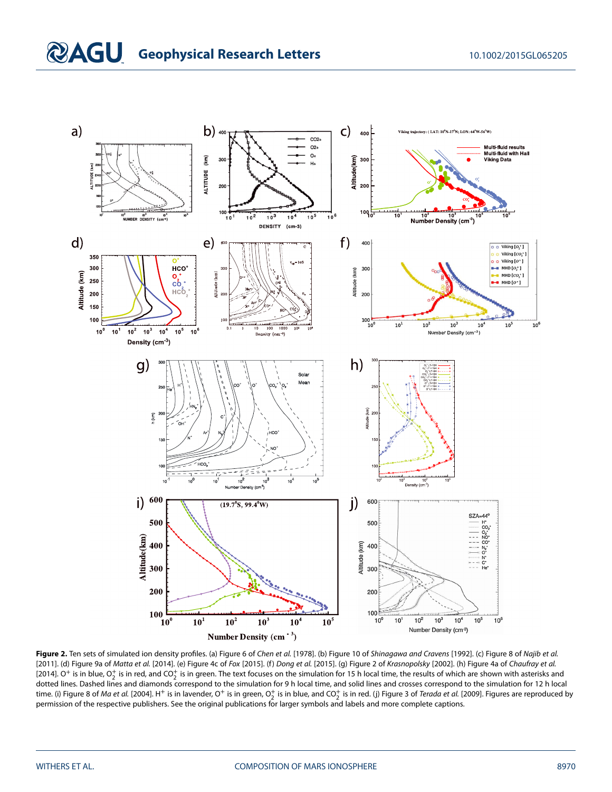

Figure 2. Ten sets of simulated ion density profiles. (a) Figure 6 of Chen et al. [1978]. (b) Figure 10 of Shinagawa and Cravens [1992]. (c) Figure 8 of Najib et al. [2011]. (d) Figure 9a of Matta et al. [2014]. (e) Figure 4c of Fox [2015]. (f) Dong et al. [2015]. (g) Figure 2 of Krasnopolsky [2002]. (h) Figure 4a of Chaufray et al. [2014]. O<sup>+</sup> is in blue, O $_2^+$  is in red, and CO $_2^+$  is in green. The text focuses on the simulation for 15 h local time, the results of which are shown with asterisks and dotted lines. Dashed lines and diamonds correspond to the simulation for 9 h local time, and solid lines and crosses correspond to the simulation for 12 h local time. (i) Figure 8 of *Ma et al*. [2004]. H<sup>+</sup> is in lavender, O<sup>+</sup> is in green, O $_2^+$  is in blue, and CO $_2^+$  is in red. (j) Figure 3 of *Terada et al*. [2009]. Figures are reproduced by permission of the respective publishers. See the original publications for larger symbols and labels and more complete captions.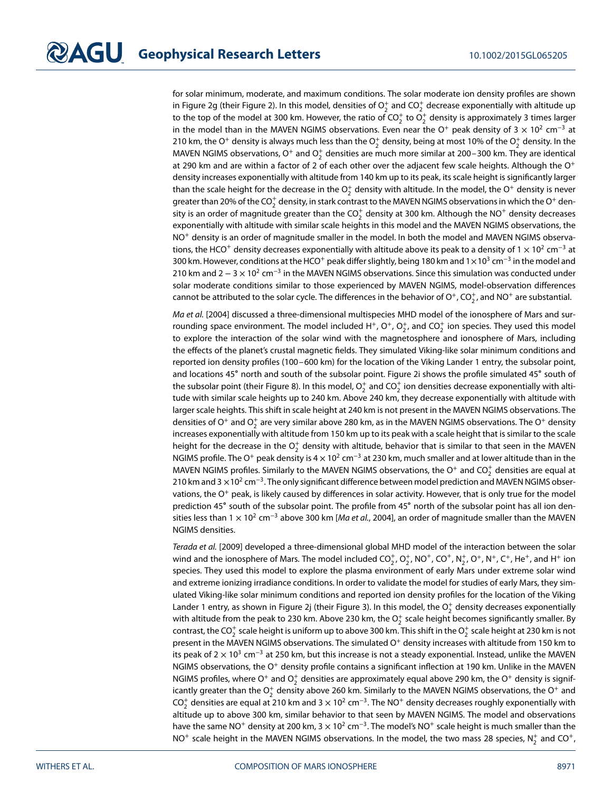for solar minimum, moderate, and maximum conditions. The solar moderate ion density profiles are shown in Figure 2g (their Figure 2). In this model, densities of  $\mathrm{O}_2^+$  and CO $_2^+$  decrease exponentially with altitude up to the top of the model at 300 km. However, the ratio of CO $_2^+$  to O $_2^+$  density is approximately 3 times larger in the model than in the MAVEN NGIMS observations. Even near the O<sup>+</sup> peak density of 3  $\times$  10<sup>2</sup> cm<sup>-3</sup> at 210 km, the O<sup>+</sup> density is always much less than the O $_2^+$  density, being at most 10% of the O $_2^+$  density. In the MAVEN NGIMS observations,  $O^+$  and  $O^+_2$  densities are much more similar at 200–300 km. They are identical at 290 km and are within a factor of 2 of each other over the adjacent few scale heights. Although the  $O^+$ density increases exponentially with altitude from 140 km up to its peak, its scale height is significantly larger than the scale height for the decrease in the  $\mathrm{O}_2^+$  density with altitude. In the model, the  $\mathrm{O}^+$  density is never greater than 20% of the CO $_2^+$  density, in stark contrast to the MAVEN NGIMS observations in which the O $^+$  density is an order of magnitude greater than the CO $_2^+$  density at 300 km. Although the NO $^+$  density decreases exponentially with altitude with similar scale heights in this model and the MAVEN NGIMS observations, the NO<sup>+</sup> density is an order of magnitude smaller in the model. In both the model and MAVEN NGIMS observations, the HCO<sup>+</sup> density decreases exponentially with altitude above its peak to a density of 1 × 10<sup>2</sup> cm<sup>-3</sup> at 300 km. However, conditions at the HCO<sup>+</sup> peak differ slightly, being 180 km and 1×10<sup>3</sup> cm<sup>-3</sup> in the model and 210 km and  $2 - 3 \times 10^{2}$  cm<sup>-3</sup> in the MAVEN NGIMS observations. Since this simulation was conducted under solar moderate conditions similar to those experienced by MAVEN NGIMS, model-observation differences cannot be attributed to the solar cycle. The differences in the behavior of O<sup>+</sup>, CO $_2^+$ , and NO $^+$  are substantial.

Ma et al. [2004] discussed a three-dimensional multispecies MHD model of the ionosphere of Mars and surrounding space environment. The model included H<sup>+</sup>, O<sup>+</sup>, O<sub>2</sub><sup>,</sup> and CO<sub>2</sub><sup>+</sup> ion species. They used this model to explore the interaction of the solar wind with the magnetosphere and ionosphere of Mars, including the effects of the planet's crustal magnetic fields. They simulated Viking-like solar minimum conditions and reported ion density profiles (100–600 km) for the location of the Viking Lander 1 entry, the subsolar point, and locations 45∘ north and south of the subsolar point. Figure 2i shows the profile simulated 45∘ south of the subsolar point (their Figure 8). In this model,  $\mathrm{O}_2^+$  and CO $_2^+$  ion densities decrease exponentially with altitude with similar scale heights up to 240 km. Above 240 km, they decrease exponentially with altitude with larger scale heights. This shift in scale height at 240 km is not present in the MAVEN NGIMS observations. The densities of O<sup>+</sup> and O $_2^+$  are very similar above 280 km, as in the MAVEN NGIMS observations. The O<sup>+</sup> density increases exponentially with altitude from 150 km up to its peak with a scale height that is similar to the scale height for the decrease in the  $\mathrm{O}_2^+$  density with altitude, behavior that is similar to that seen in the MAVEN NGIMS profile. The O<sup>+</sup> peak density is 4  $\times$  10<sup>2</sup> cm<sup>-3</sup> at 230 km, much smaller and at lower altitude than in the MAVEN NGIMS profiles. Similarly to the MAVEN NGIMS observations, the  $\mathrm{O}^+$  and  $\mathrm{CO}_2^+$  densities are equal at 210 km and 3 ×10<sup>2</sup> cm<sup>−3</sup>. The only significant difference between model prediction and MAVEN NGIMS observations, the  $O<sup>+</sup>$  peak, is likely caused by differences in solar activity. However, that is only true for the model prediction 45∘ south of the subsolar point. The profile from 45∘ north of the subsolar point has all ion densities less than  $1 \times 10^{2}$  cm<sup>-3</sup> above 300 km [*Ma et al.*, 2004], an order of magnitude smaller than the MAVEN NGIMS densities.

Terada et al. [2009] developed a three-dimensional global MHD model of the interaction between the solar wind and the ionosphere of Mars. The model included CO<sub>2</sub>, O<sub>2</sub>, NO<sup>+</sup>, CO<sup>+</sup>, N<sub>2</sub>, O<sup>+</sup>, N<sup>+</sup>, C<sup>+</sup>, He<sup>+</sup>, and H<sup>+</sup> ion species. They used this model to explore the plasma environment of early Mars under extreme solar wind and extreme ionizing irradiance conditions. In order to validate the model for studies of early Mars, they simulated Viking-like solar minimum conditions and reported ion density profiles for the location of the Viking Lander 1 entry, as shown in Figure 2j (their Figure 3). In this model, the  $\mathrm{O}_2^+$  density decreases exponentially with altitude from the peak to 230 km. Above 230 km, the  $\mathrm{O}_2^+$  scale height becomes significantly smaller. By contrast, the CO $_2^+$  scale height is uniform up to above 300 km. This shift in the O $_2^+$  scale height at 230 km is not present in the MAVEN NGIMS observations. The simulated  $O<sup>+</sup>$  density increases with altitude from 150 km to its peak of  $2 \times 10^3$  cm<sup>-3</sup> at 250 km, but this increase is not a steady exponential. Instead, unlike the MAVEN NGIMS observations, the O<sup>+</sup> density profile contains a significant inflection at 190 km. Unlike in the MAVEN NGIMS profiles, where O<sup>+</sup> and O<sup>+</sup> densities are approximately equal above 290 km, the O<sup>+</sup> density is significantly greater than the  $\mathrm{O}_2^+$  density above 260 km. Similarly to the MAVEN NGIMS observations, the  $\mathrm{O}^+$  and  $CO_2^+$  densities are equal at 210 km and 3  $\times$  10<sup>2</sup> cm<sup>-3</sup>. The NO<sup>+</sup> density decreases roughly exponentially with altitude up to above 300 km, similar behavior to that seen by MAVEN NGIMS. The model and observations have the same NO<sup>+</sup> density at 200 km,  $3 \times 10^{2}$  cm<sup>-3</sup>. The model's NO<sup>+</sup> scale height is much smaller than the NO<sup>+</sup> scale height in the MAVEN NGIMS observations. In the model, the two mass 28 species,  $N_2^+$  and CO<sup>+</sup>,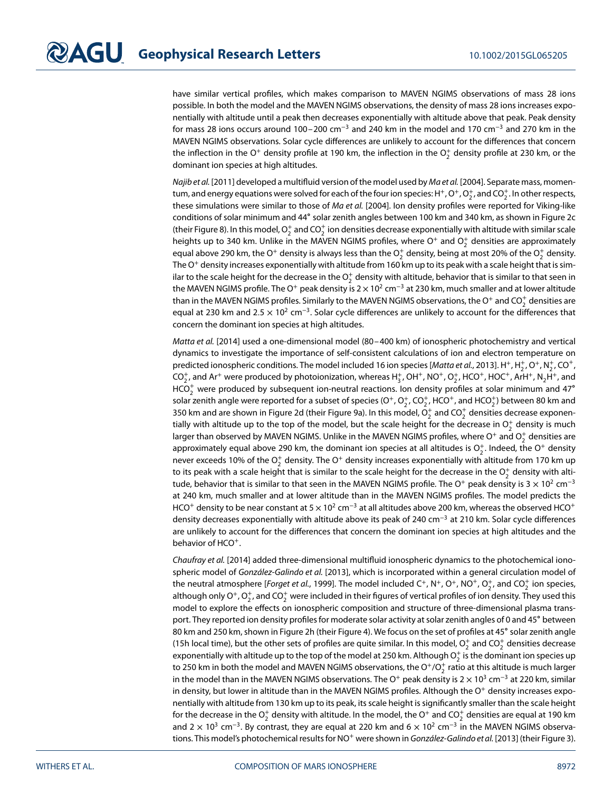have similar vertical profiles, which makes comparison to MAVEN NGIMS observations of mass 28 ions possible. In both the model and the MAVEN NGIMS observations, the density of mass 28 ions increases exponentially with altitude until a peak then decreases exponentially with altitude above that peak. Peak density for mass 28 ions occurs around 100–200 cm<sup>-3</sup> and 240 km in the model and 170 cm<sup>-3</sup> and 270 km in the MAVEN NGIMS observations. Solar cycle differences are unlikely to account for the differences that concern the inflection in the O<sup>+</sup> density profile at 190 km, the inflection in the O $_2^+$  density profile at 230 km, or the dominant ion species at high altitudes.

Najib et al. [2011] developed a multifluid version of the model used by Ma et al. [2004]. Separate mass, momentum, and energy equations were solved for each of the four ion species: H<sup>+</sup>, O<sup>+</sup>, O<sub>2</sub>, and CO<sub>2</sub>. In other respects, these simulations were similar to those of Ma et al. [2004]. Ion density profiles were reported for Viking-like conditions of solar minimum and 44∘ solar zenith angles between 100 km and 340 km, as shown in Figure 2c (their Figure 8). In this model,  $\mathrm{O}_2^+$  and CO $_2^+$  ion densities decrease exponentially with altitude with similar scale heights up to 340 km. Unlike in the MAVEN NGIMS profiles, where O<sup>+</sup> and O<sub>2</sub><sup>+</sup> densities are approximately equal above 290 km, the O $^+$  density is always less than the  $\rm O_2^+$  density, being at most 20% of the  $\rm O_2^+$  density. The  $O<sup>+</sup>$  density increases exponentially with altitude from 160 km up to its peak with a scale height that is similar to the scale height for the decrease in the  $\rm O_2^+$  density with altitude, behavior that is similar to that seen in the MAVEN NGIMS profile. The O<sup>+</sup> peak density is  $2 \times 10^2$  cm<sup>-3</sup> at 230 km, much smaller and at lower altitude than in the MAVEN NGIMS profiles. Similarly to the MAVEN NGIMS observations, the O<sup>+</sup> and CO $_2^+$  densities are equal at 230 km and 2.5 × 10<sup>2</sup> cm<sup>−3</sup>. Solar cycle differences are unlikely to account for the differences that concern the dominant ion species at high altitudes.

Matta et al. [2014] used a one-dimensional model (80–400 km) of ionospheric photochemistry and vertical dynamics to investigate the importance of self-consistent calculations of ion and electron temperature on predicted ionospheric conditions. The model included 16 ion species [Matta et al., 2013]. H<sup>+</sup>, H<sub>2</sub><sup>+</sup>, O<sup>+</sup>, N<sub>2</sub><sup>+</sup>, CO<sup>+</sup>,  $CO_2^+$ , and Ar<sup>+</sup> were produced by photoionization, whereas H<sub>3</sub>, OH<sup>+</sup>, NO<sup>+</sup>, O<sub>2</sub>, HCO<sup>+</sup>, HOC<sup>+</sup>, ArH<sup>+</sup>, N<sub>2</sub>H<sup>+</sup>, and  $HCO<sub>2</sub><sup>+</sup>$  were produced by subsequent ion-neutral reactions. Ion density profiles at solar minimum and 47° solar zenith angle were reported for a subset of species (O<sup>+</sup>, O $_2^+$ , CO $_2^+$ , HCO $^+$ , and HCO $_2^+$ ) between 80 km and 350 km and are shown in Figure 2d (their Figure 9a). In this model,  $\rm O_2^+$  and CO $_2^+$  densities decrease exponentially with altitude up to the top of the model, but the scale height for the decrease in  $\mathrm{O}_2^+$  density is much larger than observed by MAVEN NGIMS. Unlike in the MAVEN NGIMS profiles, where O<sup>+</sup> and O $_2^+$  densities are approximately equal above 290 km, the dominant ion species at all altitudes is  $\mathrm{O}_2^+$ . Indeed, the  $\mathrm{O}^+$  density never exceeds 10% of the  $\mathrm{O}_2^+$  density. The  $\mathrm{O}^+$  density increases exponentially with altitude from 170 km up to its peak with a scale height that is similar to the scale height for the decrease in the  $\mathrm{O}_2^+$  density with altitude, behavior that is similar to that seen in the MAVEN NGIMS profile. The O<sup>+</sup> peak density is 3 × 10<sup>2</sup> cm<sup>-3</sup> at 240 km, much smaller and at lower altitude than in the MAVEN NGIMS profiles. The model predicts the HCO<sup>+</sup> density to be near constant at 5  $\times$  10<sup>2</sup> cm<sup>-3</sup> at all altitudes above 200 km, whereas the observed HCO<sup>+</sup> density decreases exponentially with altitude above its peak of 240 cm<sup>−</sup><sup>3</sup> at 210 km. Solar cycle differences are unlikely to account for the differences that concern the dominant ion species at high altitudes and the behavior of HCO<sup>+</sup>.

Chaufray et al. [2014] added three-dimensional multifluid ionospheric dynamics to the photochemical ionospheric model of González-Galindo et al. [2013], which is incorporated within a general circulation model of the neutral atmosphere [*Forget et al.,* 1999]. The model included C<sup>+</sup>, N<sup>+</sup>, O<sup>+</sup>, NO<sup>+</sup>, O<sub>2</sub><sup>+</sup>, and CO<sub>2</sub><sup>+</sup> ion species, although only O<sup>+</sup>, O $_2^+$ , and CO $_2^+$  were included in their figures of vertical profiles of ion density. They used this model to explore the effects on ionospheric composition and structure of three-dimensional plasma transport. They reported ion density profiles for moderate solar activity at solar zenith angles of 0 and 45∘ between 80 km and 250 km, shown in Figure 2h (their Figure 4). We focus on the set of profiles at 45∘ solar zenith angle (15h local time), but the other sets of profiles are quite similar. In this model,  $\mathrm{O}_2^+$  and  $\mathrm{CO}_2^+$  densities decrease exponentially with altitude up to the top of the model at 250 km. Although  $\mathrm{O}_2^+$  is the dominant ion species up to 250 km in both the model and MAVEN NGIMS observations, the O<sup>+</sup>/O $_2^+$  ratio at this altitude is much larger in the model than in the MAVEN NGIMS observations. The O<sup>+</sup> peak density is  $2 \times 10^3$  cm<sup>-3</sup> at 220 km, similar in density, but lower in altitude than in the MAVEN NGIMS profiles. Although the  $O<sup>+</sup>$  density increases exponentially with altitude from 130 km up to its peak, its scale height is significantly smaller than the scale height for the decrease in the  $\rm O_2^+$  density with altitude. In the model, the  $\rm O^+$  and  $\rm CO_2^+$  densities are equal at 190 km and  $2 \times 10^3$  cm<sup>-3</sup>. By contrast, they are equal at 220 km and  $6 \times 10^2$  cm<sup>-3</sup> in the MAVEN NGIMS observations. This model's photochemical results for NO<sup>+</sup> were shown in González-Galindo et al. [2013] (their Figure 3).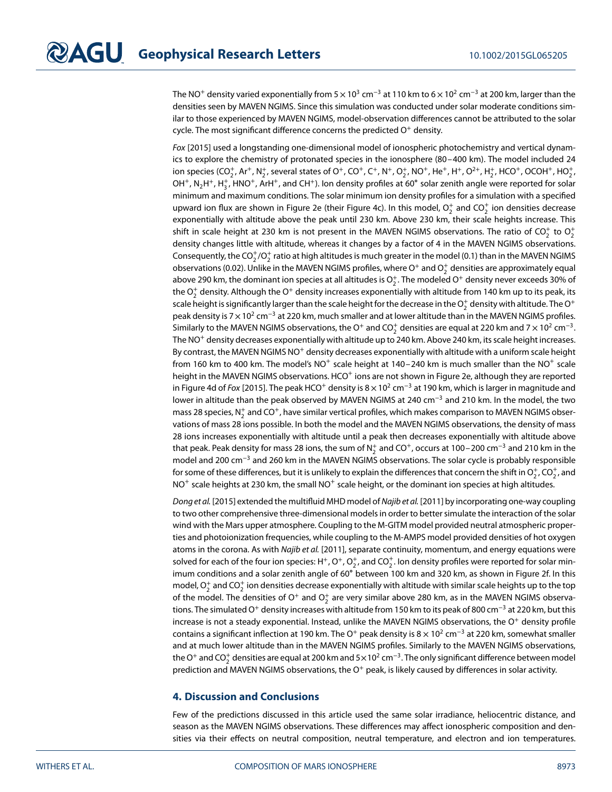The NO<sup>+</sup> density varied exponentially from  $5 \times 10^3$  cm<sup>-3</sup> at 110 km to  $6 \times 10^2$  cm<sup>-3</sup> at 200 km, larger than the densities seen by MAVEN NGIMS. Since this simulation was conducted under solar moderate conditions similar to those experienced by MAVEN NGIMS, model-observation differences cannot be attributed to the solar cycle. The most significant difference concerns the predicted  $O<sup>+</sup>$  density.

Fox [2015] used a longstanding one-dimensional model of ionospheric photochemistry and vertical dynamics to explore the chemistry of protonated species in the ionosphere (80–400 km). The model included 24 ion species (CO $_2^+$ , Ar $^+$ , N $_2^+$ , several states of O<sup>+</sup>, CO<sup>+</sup>, C<sup>+</sup>, N<sup>+</sup>, O $_2^+$ , Ne $^+$ , H $^+$ , O<sup>2+</sup>, H $_2^+$ , HCO $^+$ , OCOH $^+$ , HO $_2^+$ , OH<sup>+</sup>, N<sub>2</sub>H<sup>+</sup>, H<sub>3</sub>, HNO<sup>+</sup>, ArH<sup>+</sup>, and CH<sup>+</sup>). Ion density profiles at 60° solar zenith angle were reported for solar minimum and maximum conditions. The solar minimum ion density profiles for a simulation with a specified upward ion flux are shown in Figure 2e (their Figure 4c). In this model,  $\mathrm{O}_2^+$  and  $\mathrm{CO}_2^+$  ion densities decrease exponentially with altitude above the peak until 230 km. Above 230 km, their scale heights increase. This shift in scale height at 230 km is not present in the MAVEN NGIMS observations. The ratio of CO $_2^+$  to  $\mathrm{O}_2^+$ density changes little with altitude, whereas it changes by a factor of 4 in the MAVEN NGIMS observations. Consequently, the CO $_2^+/O_2^+$  ratio at high altitudes is much greater in the model (0.1) than in the MAVEN NGIMS observations (0.02). Unlike in the MAVEN NGIMS profiles, where O<sup>+</sup> and O $_2^+$  densities are approximately equal above 290 km, the dominant ion species at all altitudes is  $\mathrm{O}_2^+$ . The modeled O $^+$  density never exceeds 30% of the  $\mathrm{O}_2^+$  density. Although the  $\mathrm{O}^+$  density increases exponentially with altitude from 140 km up to its peak, its scale height is significantly larger than the scale height for the decrease in the  $\mathrm{O}_2^+$  density with altitude. The  $\mathrm{O}^+$ peak density is 7 × 10<sup>2</sup> cm<sup>-3</sup> at 220 km, much smaller and at lower altitude than in the MAVEN NGIMS profiles. Similarly to the MAVEN NGIMS observations, the O<sup>+</sup> and CO<sup>+</sup> densities are equal at 220 km and 7  $\times$  10<sup>2</sup> cm<sup>-3</sup>. The NO<sup>+</sup> density decreases exponentially with altitude up to 240 km. Above 240 km, its scale height increases. By contrast, the MAVEN NGIMS NO<sup>+</sup> density decreases exponentially with altitude with a uniform scale height from 160 km to 400 km. The model's  $NO^+$  scale height at 140–240 km is much smaller than the  $NO^+$  scale height in the MAVEN NGIMS observations. HCO<sup>+</sup> ions are not shown in Figure 2e, although they are reported in Figure 4d of Fox [2015]. The peak HCO<sup>+</sup> density is  $8 \times 10^2$  cm<sup>-3</sup> at 190 km, which is larger in magnitude and lower in altitude than the peak observed by MAVEN NGIMS at 240 cm<sup>−</sup><sup>3</sup> and 210 km. In the model, the two mass 28 species, N $_2^+$  and CO<sup>+</sup>, have similar vertical profiles, which makes comparison to MAVEN NGIMS observations of mass 28 ions possible. In both the model and the MAVEN NGIMS observations, the density of mass 28 ions increases exponentially with altitude until a peak then decreases exponentially with altitude above that peak. Peak density for mass 28 ions, the sum of  $\mathsf{N}_2^+$  and CO $^+$ , occurs at 100–200 cm $^{-3}$  and 210 km in the model and 200 cm<sup>-3</sup> and 260 km in the MAVEN NGIMS observations. The solar cycle is probably responsible for some of these differences, but it is unlikely to explain the differences that concern the shift in  $\mathrm{O}_2^+$ ,  $\mathrm{CO}_2^+$ , and  $NO^{+}$  scale heights at 230 km, the small  $NO^{+}$  scale height, or the dominant ion species at high altitudes.

Dong et al. [2015] extended the multifluid MHD model of Najib et al. [2011] by incorporating one-way coupling to two other comprehensive three-dimensional models in order to better simulate the interaction of the solar wind with the Mars upper atmosphere. Coupling to the M-GITM model provided neutral atmospheric properties and photoionization frequencies, while coupling to the M-AMPS model provided densities of hot oxygen atoms in the corona. As with Najib et al. [2011], separate continuity, momentum, and energy equations were solved for each of the four ion species: H<sup>+</sup>, O<sup>+</sup>, O $_2^+$ , and CO $_2^+$ . Ion density profiles were reported for solar minimum conditions and a solar zenith angle of 60∘ between 100 km and 320 km, as shown in Figure 2f. In this model,  $\mathrm{O}_2^+$  and CO $_2^+$  ion densities decrease exponentially with altitude with similar scale heights up to the top of the model. The densities of O<sup>+</sup> and O<sup>+</sup> are very similar above 280 km, as in the MAVEN NGIMS observations. The simulated O<sup>+</sup> density increases with altitude from 150 km to its peak of 800 cm<sup>-3</sup> at 220 km, but this increase is not a steady exponential. Instead, unlike the MAVEN NGIMS observations, the  $O<sup>+</sup>$  density profile contains a significant inflection at 190 km. The O<sup>+</sup> peak density is  $8 \times 10^2$  cm<sup>-3</sup> at 220 km, somewhat smaller and at much lower altitude than in the MAVEN NGIMS profiles. Similarly to the MAVEN NGIMS observations, the O<sup>+</sup> and CO $_2^+$  densities are equal at 200 km and 5 $\times$ 10<sup>2</sup> cm<sup>−3</sup>. The only significant difference between model prediction and MAVEN NGIMS observations, the  $O<sup>+</sup>$  peak, is likely caused by differences in solar activity.

### **4. Discussion and Conclusions**

Few of the predictions discussed in this article used the same solar irradiance, heliocentric distance, and season as the MAVEN NGIMS observations. These differences may affect ionospheric composition and densities via their effects on neutral composition, neutral temperature, and electron and ion temperatures.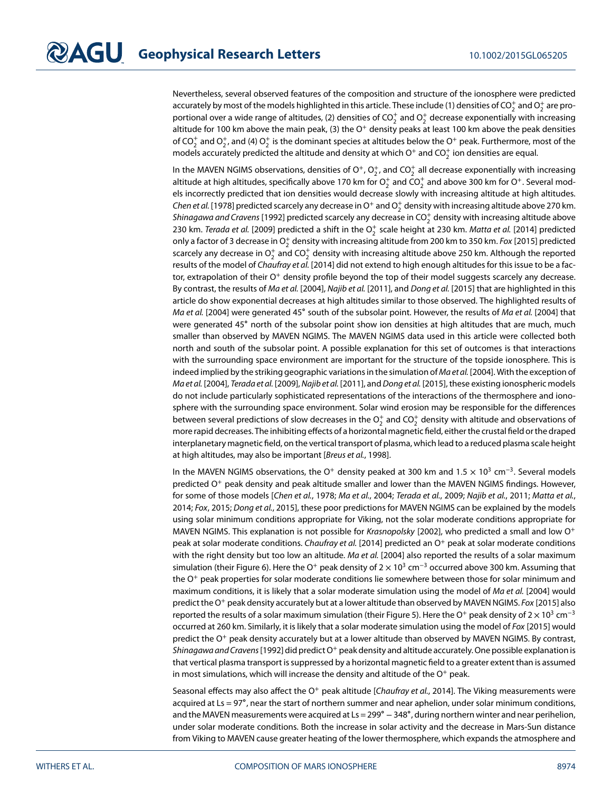Nevertheless, several observed features of the composition and structure of the ionosphere were predicted accurately by most of the models highlighted in this article. These include (1) densities of CO $_2^+$  and O $_2^+$  are proportional over a wide range of altitudes, (2) densities of CO $_2^+$  and O $_2^+$  decrease exponentially with increasing altitude for 100 km above the main peak, (3) the  $O<sup>+</sup>$  density peaks at least 100 km above the peak densities of CO<sub>2</sub> and O<sub>2</sub>, and (4) O<sub>2</sub> is the dominant species at altitudes below the O<sup>+</sup> peak. Furthermore, most of the models accurately predicted the altitude and density at which O<sup>+</sup> and CO $_2^+$  ion densities are equal.

In the MAVEN NGIMS observations, densities of O<sup>+</sup>, O<sup>+</sup>, and CO<sup>+</sup> all decrease exponentially with increasing altitude at high altitudes, specifically above 170 km for  $\mathrm{O}_2^+$  and C $\mathrm{O}_2^+$  and above 300 km for O $^+$ . Several models incorrectly predicted that ion densities would decrease slowly with increasing altitude at high altitudes. *Chen et al*. [1978] predicted scarcely any decrease in O<sup>+</sup> and O $_2^+$  density with increasing altitude above 270 km. *Shinagawa and Cravens* [1992] predicted scarcely any decrease in CO $_2^+$  density with increasing altitude above 230 km. *Terada et al*. [2009] predicted a shift in the O $_2^+$  scale height at 230 km. *Matta et al*. [2014] predicted only a factor of 3 decrease in  $\mathrm{O}_2^+$  density with increasing altitude from 200 km to 350 km. Fox [2015] predicted scarcely any decrease in  $\mathrm{O}_2^+$  and CO $_2^+$  density with increasing altitude above 250 km. Although the reported results of the model of Chaufray et al. [2014] did not extend to high enough altitudes for this issue to be a factor, extrapolation of their  $O<sup>+</sup>$  density profile beyond the top of their model suggests scarcely any decrease. By contrast, the results of Ma et al. [2004], Najib et al. [2011], and Dong et al. [2015] that are highlighted in this article do show exponential decreases at high altitudes similar to those observed. The highlighted results of Ma et al. [2004] were generated 45∘ south of the subsolar point. However, the results of Ma et al. [2004] that were generated 45∘ north of the subsolar point show ion densities at high altitudes that are much, much smaller than observed by MAVEN NGIMS. The MAVEN NGIMS data used in this article were collected both north and south of the subsolar point. A possible explanation for this set of outcomes is that interactions with the surrounding space environment are important for the structure of the topside ionosphere. This is indeed implied by the striking geographic variations in the simulation of Ma et al. [2004]. With the exception of Ma et al. [2004], Terada et al. [2009], Najib et al. [2011], and Dong et al. [2015], these existing ionospheric models do not include particularly sophisticated representations of the interactions of the thermosphere and ionosphere with the surrounding space environment. Solar wind erosion may be responsible for the differences between several predictions of slow decreases in the  $\mathrm{O}_2^+$  and CO $_2^+$  density with altitude and observations of more rapid decreases. The inhibiting effects of a horizontal magnetic field, either the crustal field or the draped interplanetary magnetic field, on the vertical transport of plasma, which lead to a reduced plasma scale height at high altitudes, may also be important [Breus et al., 1998].

In the MAVEN NGIMS observations, the O<sup>+</sup> density peaked at 300 km and 1*.*5 × 10<sup>3</sup> cm<sup>−</sup>3. Several models predicted O<sup>+</sup> peak density and peak altitude smaller and lower than the MAVEN NGIMS findings. However, for some of those models [Chen et al., 1978; Ma et al., 2004; Terada et al., 2009; Najib et al., 2011; Matta et al., 2014; Fox, 2015; Dong et al., 2015], these poor predictions for MAVEN NGIMS can be explained by the models using solar minimum conditions appropriate for Viking, not the solar moderate conditions appropriate for MAVEN NGIMS. This explanation is not possible for Krasnopolsky [2002], who predicted a small and low  $O^+$ peak at solar moderate conditions. Chaufray et al. [2014] predicted an  $O<sup>+</sup>$  peak at solar moderate conditions with the right density but too low an altitude. Ma et al. [2004] also reported the results of a solar maximum simulation (their Figure 6). Here the O<sup>+</sup> peak density of  $2 \times 10^3$  cm<sup>-3</sup> occurred above 300 km. Assuming that the  $O<sup>+</sup>$  peak properties for solar moderate conditions lie somewhere between those for solar minimum and maximum conditions, it is likely that a solar moderate simulation using the model of Ma et al. [2004] would predict the O<sup>+</sup> peak density accurately but at a lower altitude than observed by MAVEN NGIMS. Fox [2015] also reported the results of a solar maximum simulation (their Figure 5). Here the O+ peak density of  $2 \times 10^3$  cm<sup>-3</sup> occurred at 260 km. Similarly, it is likely that a solar moderate simulation using the model of Fox [2015] would predict the  $O<sup>+</sup>$  peak density accurately but at a lower altitude than observed by MAVEN NGIMS. By contrast, Shinagawa and Cravens [1992] did predict  $O<sup>+</sup>$  peak density and altitude accurately. One possible explanation is that vertical plasma transport is suppressed by a horizontal magnetic field to a greater extent than is assumed in most simulations, which will increase the density and altitude of the  $O^+$  peak.

Seasonal effects may also affect the  $O^+$  peak altitude [Chaufray et al., 2014]. The Viking measurements were acquired at Ls = 97∘, near the start of northern summer and near aphelion, under solar minimum conditions, and the MAVEN measurements were acquired at Ls = 299° – 348°, during northern winter and near perihelion, under solar moderate conditions. Both the increase in solar activity and the decrease in Mars-Sun distance from Viking to MAVEN cause greater heating of the lower thermosphere, which expands the atmosphere and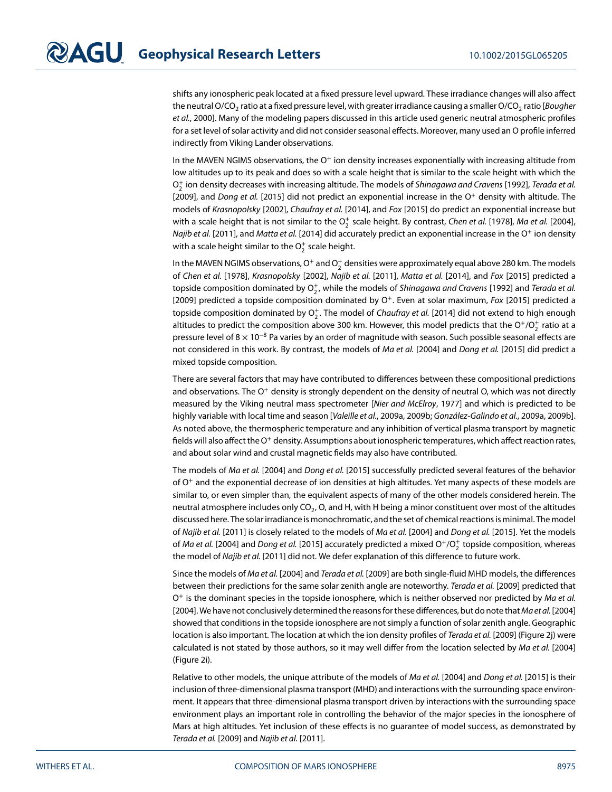shifts any ionospheric peak located at a fixed pressure level upward. These irradiance changes will also affect the neutral O/CO<sub>2</sub> ratio at a fixed pressure level, with greater irradiance causing a smaller O/CO<sub>2</sub> ratio [Bougher et al., 2000]. Many of the modeling papers discussed in this article used generic neutral atmospheric profiles for a set level of solar activity and did not consider seasonal effects. Moreover, many used an O profile inferred indirectly from Viking Lander observations.

In the MAVEN NGIMS observations, the  $O<sup>+</sup>$  ion density increases exponentially with increasing altitude from low altitudes up to its peak and does so with a scale height that is similar to the scale height with which the  $\mathrm{O}_2^+$  ion density decreases with increasing altitude. The models of S*hinagawa and Cravens* [1992], *Terada et al*. [2009], and Dong et al. [2015] did not predict an exponential increase in the  $O^+$  density with altitude. The models of Krasnopolsky [2002], Chaufray et al. [2014], and Fox [2015] do predict an exponential increase but with a scale height that is not similar to the  $\mathrm{O}_2^+$  scale height. By contrast, *Chen et al.* [1978], *Ma et al.* [2004], Najib et al. [2011], and Matta et al. [2014] did accurately predict an exponential increase in the O<sup>+</sup> ion density with a scale height similar to the  $\mathrm{O}_2^+$  scale height.

In the MAVEN NGIMS observations, O<sup>+</sup> and O $_2^+$  densities were approximately equal above 280 km. The models of Chen et al. [1978], Krasnopolsky [2002], Najib et al. [2011], Matta et al. [2014], and Fox [2015] predicted a topside composition dominated by  $\mathrm{O}_2^+$ , while the models of *Shinagawa and Cravens* [1992] and *Terada et al*. [2009] predicted a topside composition dominated by  $O^+$ . Even at solar maximum, Fox [2015] predicted a topside composition dominated by  $\mathrm{O}_2^+$ . The model of Ch*aufray et al*. [2014] did not extend to high enough altitudes to predict the composition above 300 km. However, this model predicts that the O<sup>+</sup>/O<sub>2</sub> ratio at a pressure level of  $8 \times 10^{-8}$  Pa varies by an order of magnitude with season. Such possible seasonal effects are not considered in this work. By contrast, the models of Ma et al. [2004] and Dong et al. [2015] did predict a mixed topside composition.

There are several factors that may have contributed to differences between these compositional predictions and observations. The  $O^+$  density is strongly dependent on the density of neutral O, which was not directly measured by the Viking neutral mass spectrometer [Nier and McElroy, 1977] and which is predicted to be highly variable with local time and season [Valeille et al., 2009a, 2009b; González-Galindo et al., 2009a, 2009b]. As noted above, the thermospheric temperature and any inhibition of vertical plasma transport by magnetic fields will also affect the O<sup>+</sup> density. Assumptions about ionospheric temperatures, which affect reaction rates, and about solar wind and crustal magnetic fields may also have contributed.

The models of Ma et al. [2004] and Dong et al. [2015] successfully predicted several features of the behavior of  $O<sup>+</sup>$  and the exponential decrease of ion densities at high altitudes. Yet many aspects of these models are similar to, or even simpler than, the equivalent aspects of many of the other models considered herein. The neutral atmosphere includes only  $CO<sub>2</sub>$ , O, and H, with H being a minor constituent over most of the altitudes discussed here. The solar irradiance is monochromatic, and the set of chemical reactions is minimal. The model of Najib et al. [2011] is closely related to the models of Ma et al. [2004] and Dong et al. [2015]. Yet the models of *Ma et al*. [2004] and *Dong et al*. [2015] accurately predicted a mixed O<sup>+</sup>/O $_2^+$  topside composition, whereas the model of Najib et al. [2011] did not. We defer explanation of this difference to future work.

Since the models of Ma et al. [2004] and Terada et al. [2009] are both single-fluid MHD models, the differences between their predictions for the same solar zenith angle are noteworthy. Terada et al. [2009] predicted that  $O^+$  is the dominant species in the topside ionosphere, which is neither observed nor predicted by Ma et al. [2004]. We have not conclusively determined the reasons for these differences, but do note that Ma et al. [2004] showed that conditions in the topside ionosphere are not simply a function of solar zenith angle. Geographic location is also important. The location at which the ion density profiles of Terada et al. [2009] (Figure 2j) were calculated is not stated by those authors, so it may well differ from the location selected by Ma et al. [2004] (Figure 2i).

Relative to other models, the unique attribute of the models of Ma et al. [2004] and Dong et al. [2015] is their inclusion of three-dimensional plasma transport (MHD) and interactions with the surrounding space environment. It appears that three-dimensional plasma transport driven by interactions with the surrounding space environment plays an important role in controlling the behavior of the major species in the ionosphere of Mars at high altitudes. Yet inclusion of these effects is no guarantee of model success, as demonstrated by Terada et al. [2009] and Najib et al. [2011].